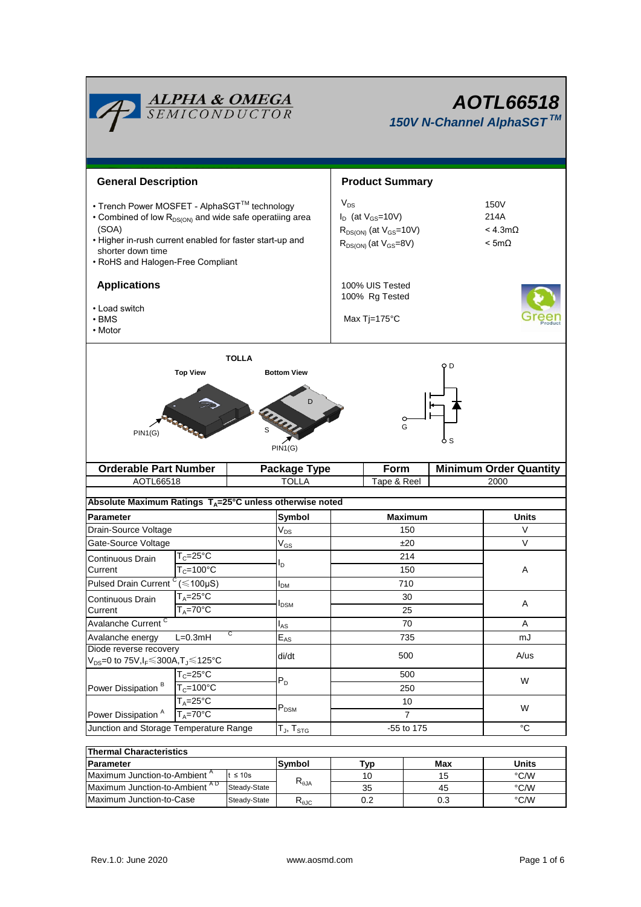| <u>ALPHA &amp; OMEGA</u><br>SEMICONDUCTOR                                                                                                                                                                                                          |                                        |                                    |     | AOTL66518<br>150V N-Channel AlphaSGT™                                                                     |   |                                       |                                                   |  |  |
|----------------------------------------------------------------------------------------------------------------------------------------------------------------------------------------------------------------------------------------------------|----------------------------------------|------------------------------------|-----|-----------------------------------------------------------------------------------------------------------|---|---------------------------------------|---------------------------------------------------|--|--|
| <b>General Description</b>                                                                                                                                                                                                                         |                                        |                                    |     | <b>Product Summary</b>                                                                                    |   |                                       |                                                   |  |  |
| • Trench Power MOSFET - AlphaSGT™ technology<br>• Combined of low R <sub>DS(ON)</sub> and wide safe operatiing area<br>(SOA)<br>• Higher in-rush current enabled for faster start-up and<br>shorter down time<br>• RoHS and Halogen-Free Compliant |                                        |                                    |     | $V_{DS}$<br>$I_D$ (at $V_{GS}$ =10V)<br>$R_{DS(ON)}$ (at $V_{GS}=10V$ )<br>$R_{DS(ON)}$ (at $V_{GS}=8V$ ) |   |                                       | 150V<br>214A<br>$<$ 4.3m $\Omega$<br>$< 5m\Omega$ |  |  |
| <b>Applications</b><br>• Load switch<br>$\cdot$ BMS<br>• Motor                                                                                                                                                                                     |                                        |                                    |     | 100% UIS Tested<br>100% Rg Tested<br>Max $Ti=175^{\circ}C$                                                |   |                                       |                                                   |  |  |
|                                                                                                                                                                                                                                                    | <b>Top View</b>                        | <b>TOLLA</b><br><b>Bottom View</b> |     |                                                                                                           |   | o d                                   |                                                   |  |  |
| PIN1(G)                                                                                                                                                                                                                                            |                                        | S<br>PIN1(G)                       |     |                                                                                                           | G | 6 S                                   |                                                   |  |  |
| <b>Orderable Part Number</b><br>AOTL66518                                                                                                                                                                                                          |                                        | <b>Package Type</b><br>TOLLA       |     | Form<br>Tape & Reel                                                                                       |   | <b>Minimum Order Quantity</b><br>2000 |                                                   |  |  |
|                                                                                                                                                                                                                                                    |                                        |                                    |     |                                                                                                           |   |                                       |                                                   |  |  |
| Absolute Maximum Ratings T <sub>A</sub> =25°C unless otherwise noted<br><b>Parameter</b>                                                                                                                                                           |                                        |                                    |     |                                                                                                           |   |                                       | Units                                             |  |  |
| Drain-Source Voltage                                                                                                                                                                                                                               |                                        | Symbol<br>$V_{DS}$                 |     | <b>Maximum</b><br>150                                                                                     |   |                                       | V                                                 |  |  |
| Gate-Source Voltage                                                                                                                                                                                                                                |                                        | $V_{GS}$                           |     | ±20                                                                                                       |   |                                       | V                                                 |  |  |
| Continuous Drain                                                                                                                                                                                                                                   | $T_c = 25$ °C                          |                                    |     | 214                                                                                                       |   |                                       |                                                   |  |  |
| Current                                                                                                                                                                                                                                            | $T_c = 100^{\circ}C$                   | סי                                 |     | 150                                                                                                       |   |                                       | Α                                                 |  |  |
| Pulsed Drain Current <sup>C</sup>                                                                                                                                                                                                                  | $(\leq 100 \mu S)$                     | $I_{DM}$                           | 710 |                                                                                                           |   |                                       |                                                   |  |  |
| Continuous Drain                                                                                                                                                                                                                                   | $T_A = 25^{\circ}C$                    |                                    |     | 30                                                                                                        |   |                                       |                                                   |  |  |
| Current                                                                                                                                                                                                                                            | $T_A = 70$ °C                          | $I_{DSM}$                          |     | 25                                                                                                        |   |                                       | A                                                 |  |  |
| Avalanche Current <sup>C</sup>                                                                                                                                                                                                                     |                                        | $I_{AS}$                           |     | 70                                                                                                        |   |                                       | Α                                                 |  |  |
| С<br>Avalanche energy<br>$L=0.3mH$                                                                                                                                                                                                                 |                                        | $\mathsf{E}_{\mathsf{AS}}$         |     | 735                                                                                                       |   |                                       | mJ                                                |  |  |
| Diode reverse recovery<br>V <sub>DS</sub> =0 to 75V,I <sub>F</sub> ≤300A,T」≤125°C                                                                                                                                                                  |                                        | di/dt                              |     | 500                                                                                                       |   |                                       | A/us                                              |  |  |
| Power Dissipation <sup>B</sup>                                                                                                                                                                                                                     | $T_c = 25$ °C<br>$T_c = 100^{\circ}$ C | $P_D$                              |     | 500<br>250                                                                                                |   |                                       | W                                                 |  |  |
| Power Dissipation <sup>A</sup>                                                                                                                                                                                                                     | $T_A = 25$ °C<br>$T_A = 70^\circ C$    | $P_{DSM}$                          |     | 10<br>7                                                                                                   |   |                                       | W                                                 |  |  |
| Junction and Storage Temperature Range                                                                                                                                                                                                             |                                        | $T_J$ , $T_{STG}$                  |     | -55 to 175                                                                                                |   |                                       | $^{\circ}C$                                       |  |  |
| <b>Thermal Characteristics</b>                                                                                                                                                                                                                     |                                        |                                    |     |                                                                                                           |   |                                       |                                                   |  |  |
| <b>Daramotor</b>                                                                                                                                                                                                                                   |                                        | Sumbol                             |     | T <sub>1</sub>                                                                                            |   | Mov                                   | <b>Hnite</b>                                      |  |  |

| <b>Parameter</b>                          | Max<br>™ур<br>Symbol |                                                    |     | Units |      |  |  |  |
|-------------------------------------------|----------------------|----------------------------------------------------|-----|-------|------|--|--|--|
| Maximum Junction-to-Ambient <sup>A</sup>  | $\leq 10$ s          |                                                    |     | ۱۵    | °C/W |  |  |  |
| Maximum Junction-to-Ambient <sup>AD</sup> | Steady-State         | $\mathsf{r}_{\scriptscriptstyle\theta\mathsf{JA}}$ | 35  | 45    | °C/W |  |  |  |
| <b>IMaximum Junction to Case</b>          | Steady-State         | $\mathsf{r}_{\scriptscriptstyle{\theta\text{JC}}}$ | 0.2 | 0.3   | °C/W |  |  |  |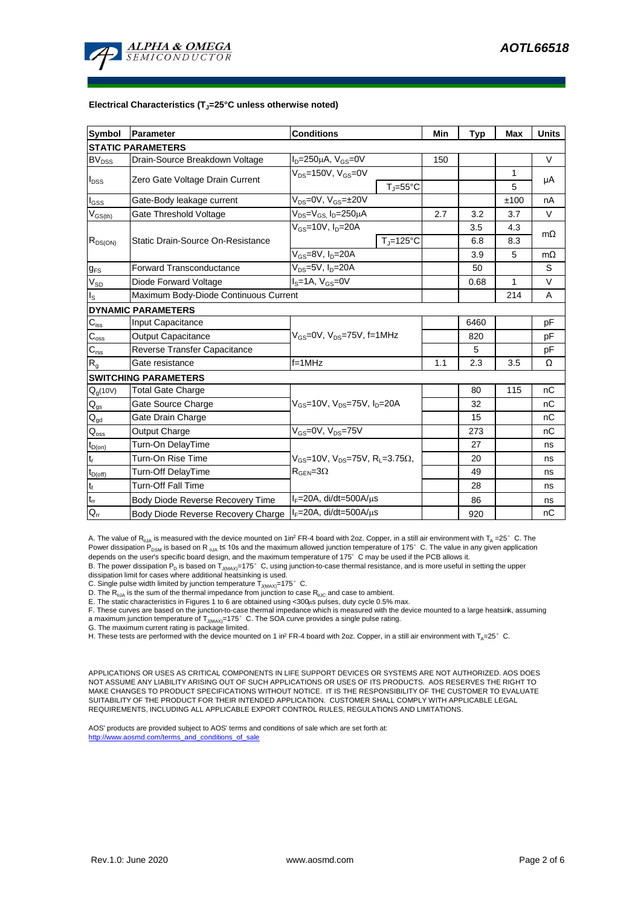

#### **Electrical Characteristics (TJ=25°C unless otherwise noted)**

| <b>Symbol</b>               | Parameter                             | <b>Conditions</b>                                                                           | Min                            | <b>Typ</b> | <b>Max</b> | <b>Units</b> |           |  |
|-----------------------------|---------------------------------------|---------------------------------------------------------------------------------------------|--------------------------------|------------|------------|--------------|-----------|--|
| <b>STATIC PARAMETERS</b>    |                                       |                                                                                             |                                |            |            |              |           |  |
| <b>BV<sub>DSS</sub></b>     | Drain-Source Breakdown Voltage        | $I_D = 250 \mu A$ , $V_{GS} = 0V$                                                           |                                | 150        |            |              | V         |  |
| $I_{DSS}$                   | Zero Gate Voltage Drain Current       | $V_{DS}$ =150V, $V_{GS}$ =0V                                                                |                                |            |            | 1            | μA        |  |
|                             |                                       |                                                                                             | $T = 55^{\circ}C$              |            |            | 5            |           |  |
| $I_{GSS}$                   | Gate-Body leakage current             | $V_{DS} = 0V$ , $V_{GS} = \pm 20V$                                                          |                                |            |            | ±100         | nA        |  |
| $V_{GS(th)}$                | Gate Threshold Voltage                | V <sub>DS</sub> =V <sub>GS.</sub> I <sub>D</sub> =250µA                                     |                                | 2.7        | 3.2        | 3.7          | V         |  |
| $R_{DS(ON)}$                |                                       | $V_{GS}$ =10V, $I_{D}$ =20A                                                                 |                                |            | 3.5        | 4.3          | $m\Omega$ |  |
|                             | Static Drain-Source On-Resistance     |                                                                                             | $T_{\parallel} = 125^{\circ}C$ |            | 6.8        | 8.3          |           |  |
|                             |                                       | $V_{GS}$ =8V, $I_{D}$ =20A                                                                  |                                | 3.9        | 5          | $m\Omega$    |           |  |
| $g_{FS}$                    | <b>Forward Transconductance</b>       | $V_{DS}$ =5V, $I_D$ =20A                                                                    |                                | 50         |            | S            |           |  |
| $V_{SD}$                    | Diode Forward Voltage                 | $IS=1A, VGS=0V$                                                                             |                                | 0.68       | 1          | V            |           |  |
| lls                         | Maximum Body-Diode Continuous Current |                                                                                             |                                |            |            | 214          | A         |  |
|                             | <b>DYNAMIC PARAMETERS</b>             |                                                                                             |                                |            |            |              |           |  |
| $\mathbf{C}_{\text{iss}}$   | <b>Input Capacitance</b>              |                                                                                             |                                |            | 6460       |              | pF        |  |
| $C_{\rm oss}$               | <b>Output Capacitance</b>             | $V_{GS}$ =0V, $V_{DS}$ =75V, f=1MHz                                                         |                                |            | 820        |              | рF        |  |
| $C_{\text{rss}}$            | Reverse Transfer Capacitance          |                                                                                             |                                | 5          |            | pF           |           |  |
| R <sub>g</sub>              | Gate resistance                       | $f = 1$ MHz                                                                                 |                                | 1.1        | 2.3        | 3.5          | Ω         |  |
|                             | <b>SWITCHING PARAMETERS</b>           |                                                                                             |                                |            |            |              |           |  |
| $Q_q(10V)$                  | <b>Total Gate Charge</b>              | $V_{GS}$ =10V, $V_{DS}$ =75V, $I_{D}$ =20A                                                  |                                |            | 80         | 115          | nC        |  |
| $\mathsf{Q}_{\text{gs}}$    | Gate Source Charge                    |                                                                                             |                                |            | 32         |              | nC        |  |
| $\mathsf{Q}_{\text{gd}}$    | Gate Drain Charge                     |                                                                                             |                                |            | 15         |              | nC        |  |
| $\mathsf{Q}_{\mathsf{oss}}$ | Output Charge                         | $V_{GS}$ =0V, $V_{DS}$ =75V                                                                 |                                |            | 273        |              | nС        |  |
| $t_{D(on)}$                 | Turn-On DelayTime                     |                                                                                             |                                |            | 27         |              | ns        |  |
| $\mathsf{t}_\mathsf{r}$     | Turn-On Rise Time                     | $V_{GS}$ =10V, $V_{DS}$ =75V, R <sub>L</sub> =3.75 $\Omega$ ,<br>$R_{\text{GEN}} = 3\Omega$ |                                |            | 20         |              | ns        |  |
| $t_{D(off)}$                | <b>Turn-Off DelayTime</b>             |                                                                                             |                                |            | 49         |              | ns        |  |
| $t_f$                       | <b>Turn-Off Fall Time</b>             |                                                                                             |                                |            | 28         |              | ns        |  |
| $\mathfrak{t}_{\text{rr}}$  | Body Diode Reverse Recovery Time      | $I_F = 20A$ , di/dt=500A/ $\mu$ s                                                           |                                |            | 86         |              | ns        |  |
| $Q_{rr}$                    | Body Diode Reverse Recovery Charge    | $I_F = 20A$ , di/dt=500A/us                                                                 |                                |            | 920        |              | nC        |  |

A. The value of R<sub>ata</sub> is measured with the device mounted on 1in<sup>2</sup> FR-4 board with 2oz. Copper, in a still air environment with T<sub>a</sub> =25° C. The Power dissipation  $\overleftrightarrow{P}_{DSM}$  is based on R  $_{0JA}$  t≤ 10s and the maximum allowed junction temperature of 175°C. The value in any given application depends on the user's specific board design, and the maximum temperature of 175°C may be used if the PCB allows it.

B. The power dissipation P<sub>D</sub> is based on T<sub>J(MAX)</sub>=175°C, using junction-to-case thermal resistance, and is more useful in setting the upper<br>dissipation limit for cases where additional heatsinking is used.

C. Single pulse width limited by junction temperature  $T_{J(MAX)}=175^\circ$  C.

D. The  $R_{q_0A}$  is the sum of the thermal impedance from junction to case  $R_{q_0C}$  and case to ambient.

E. The static characteristics in Figures 1 to 6 are obtained using <300us pulses, duty cycle 0.5% max.

F. These curves are based on the junction-to-case thermal impedance which is measured with the device mounted to a large heatsirk, assuming<br>a maximum junction temperature of T<sub>J(MAX)</sub>=175° C. The SOA curve provides a singl

G. The maximum current rating is package limited.

H. These tests are performed with the device mounted on 1 in<sup>2</sup> FR-4 board with 2oz. Copper, in a still air environment with T<sub>A</sub>=25°C.

APPLICATIONS OR USES AS CRITICAL COMPONENTS IN LIFE SUPPORT DEVICES OR SYSTEMS ARE NOT AUTHORIZED. AOS DOES NOT ASSUME ANY LIABILITY ARISING OUT OF SUCH APPLICATIONS OR USES OF ITS PRODUCTS. AOS RESERVES THE RIGHT TO MAKE CHANGES TO PRODUCT SPECIFICATIONS WITHOUT NOTICE. IT IS THE RESPONSIBILITY OF THE CUSTOMER TO EVALUATE SUITABILITY OF THE PRODUCT FOR THEIR INTENDED APPLICATION. CUSTOMER SHALL COMPLY WITH APPLICABLE LEGAL REQUIREMENTS, INCLUDING ALL APPLICABLE EXPORT CONTROL RULES, REGULATIONS AND LIMITATIONS.

AOS' products are provided subject to AOS' terms and conditions of sale which are set forth at: http://www.aosmd.com/terms\_and\_conditions\_of\_sale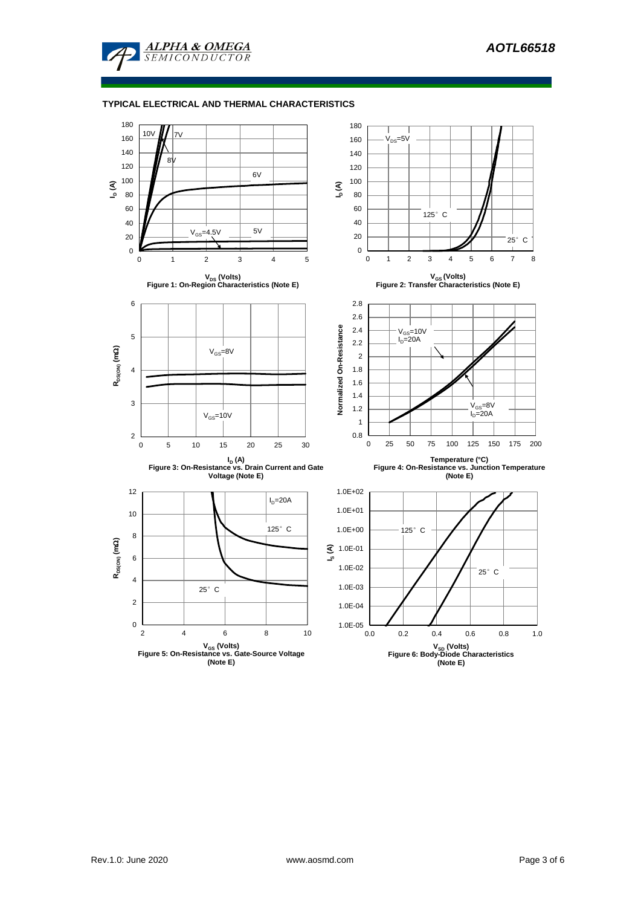

### **TYPICAL ELECTRICAL AND THERMAL CHARACTERISTICS**

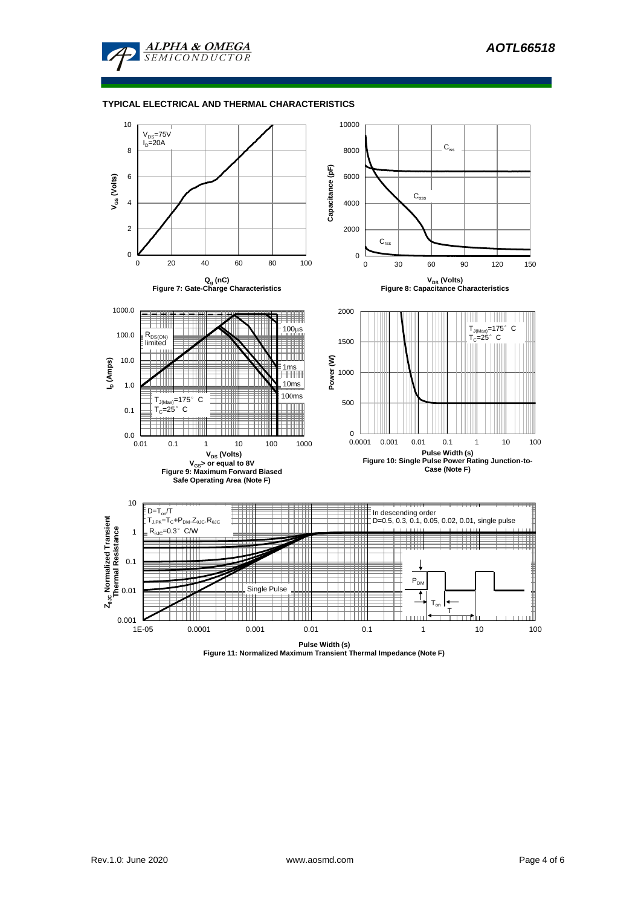

#### **TYPICAL ELECTRICAL AND THERMAL CHARACTERISTICS**



**Pulse Width (s) Figure 11: Normalized Maximum Transient Thermal Impedance (Note F)**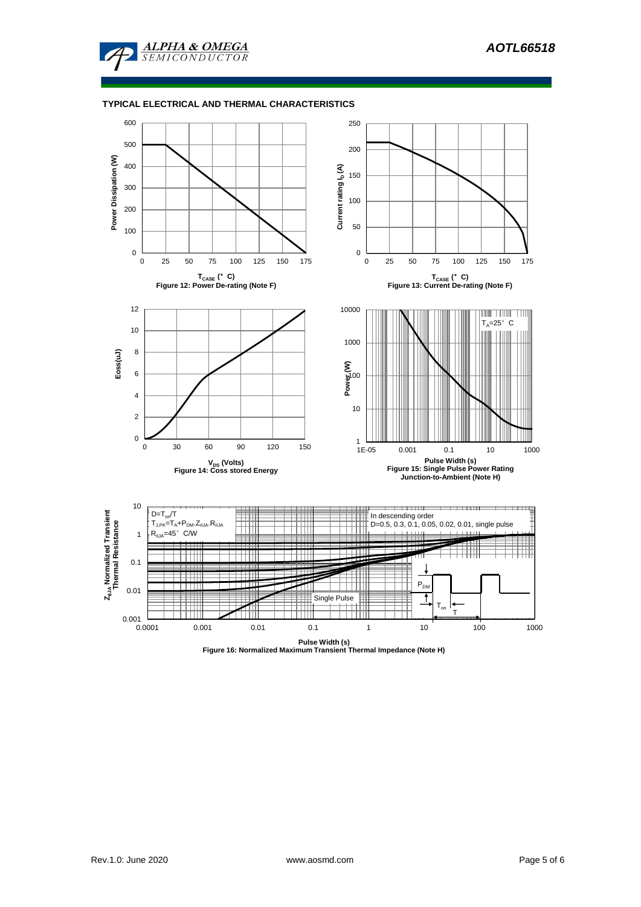

## **TYPICAL ELECTRICAL AND THERMAL CHARACTERISTICS**